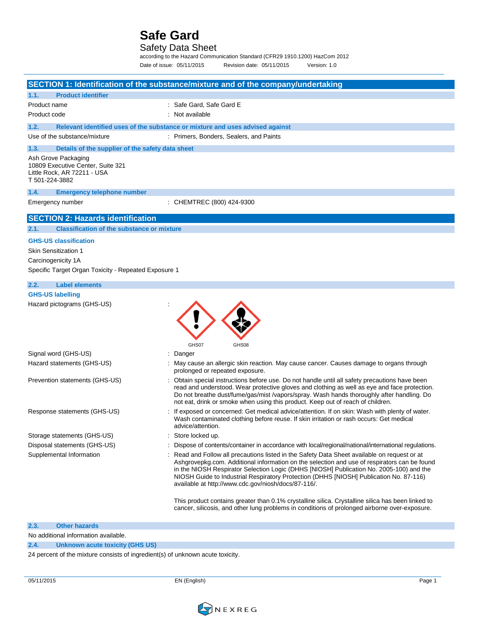### Safety Data Sheet

according to the Hazard Communication Standard (CFR29 1910.1200) HazCom 2012 Date of issue: 05/11/2015 Revision date: 05/11/2015 Version: 1.0

|                                                                                                                                           | SECTION 1: Identification of the substance/mixture and of the company/undertaking                                                                                                                                                                                                                                                                                                                                                      |
|-------------------------------------------------------------------------------------------------------------------------------------------|----------------------------------------------------------------------------------------------------------------------------------------------------------------------------------------------------------------------------------------------------------------------------------------------------------------------------------------------------------------------------------------------------------------------------------------|
| <b>Product identifier</b><br>1.1.                                                                                                         |                                                                                                                                                                                                                                                                                                                                                                                                                                        |
| Product name                                                                                                                              | : Safe Gard, Safe Gard E                                                                                                                                                                                                                                                                                                                                                                                                               |
| Product code                                                                                                                              | : Not available                                                                                                                                                                                                                                                                                                                                                                                                                        |
| 1.2.                                                                                                                                      | Relevant identified uses of the substance or mixture and uses advised against                                                                                                                                                                                                                                                                                                                                                          |
| Use of the substance/mixture                                                                                                              | : Primers, Bonders, Sealers, and Paints                                                                                                                                                                                                                                                                                                                                                                                                |
| Details of the supplier of the safety data sheet<br>1.3.                                                                                  |                                                                                                                                                                                                                                                                                                                                                                                                                                        |
| Ash Grove Packaging<br>10809 Executive Center, Suite 321<br>Little Rock, AR 72211 - USA<br>T 501-224-3882                                 |                                                                                                                                                                                                                                                                                                                                                                                                                                        |
| 1.4.<br><b>Emergency telephone number</b>                                                                                                 |                                                                                                                                                                                                                                                                                                                                                                                                                                        |
| Emergency number                                                                                                                          | : CHEMTREC (800) 424-9300                                                                                                                                                                                                                                                                                                                                                                                                              |
| <b>SECTION 2: Hazards identification</b>                                                                                                  |                                                                                                                                                                                                                                                                                                                                                                                                                                        |
| <b>Classification of the substance or mixture</b><br>2.1.                                                                                 |                                                                                                                                                                                                                                                                                                                                                                                                                                        |
| <b>GHS-US classification</b><br><b>Skin Sensitization 1</b><br>Carcinogenicity 1A<br>Specific Target Organ Toxicity - Repeated Exposure 1 |                                                                                                                                                                                                                                                                                                                                                                                                                                        |
| 2.2.<br><b>Label elements</b>                                                                                                             |                                                                                                                                                                                                                                                                                                                                                                                                                                        |
| <b>GHS-US labelling</b><br>Hazard pictograms (GHS-US)                                                                                     | GHS07<br>GHS08                                                                                                                                                                                                                                                                                                                                                                                                                         |
| Signal word (GHS-US)                                                                                                                      | : Danger                                                                                                                                                                                                                                                                                                                                                                                                                               |
| Hazard statements (GHS-US)                                                                                                                | : May cause an allergic skin reaction. May cause cancer. Causes damage to organs through<br>prolonged or repeated exposure.                                                                                                                                                                                                                                                                                                            |
| Prevention statements (GHS-US)                                                                                                            | Obtain special instructions before use. Do not handle until all safety precautions have been<br>read and understood. Wear protective gloves and clothing as well as eye and face protection.<br>Do not breathe dust/fume/gas/mist /vapors/spray. Wash hands thoroughly after handling. Do<br>not eat, drink or smoke when using this product. Keep out of reach of children.                                                           |
| Response statements (GHS-US)                                                                                                              | If exposed or concerned: Get medical advice/attention. If on skin: Wash with plenty of water.<br>Wash contaminated clothing before reuse. If skin irritation or rash occurs: Get medical<br>advice/attention.                                                                                                                                                                                                                          |
| Storage statements (GHS-US)                                                                                                               | : Store locked up.                                                                                                                                                                                                                                                                                                                                                                                                                     |
| Disposal statements (GHS-US)                                                                                                              | Dispose of contents/container in accordance with local/regional/national/international regulations.                                                                                                                                                                                                                                                                                                                                    |
| Supplemental Information                                                                                                                  | Read and Follow all precautions listed in the Safety Data Sheet available on request or at<br>Ashgrovepkg.com. Additional information on the selection and use of respirators can be found<br>in the NIOSH Respirator Selection Logic (DHHS [NIOSH] Publication No. 2005-100) and the<br>NIOSH Guide to Industrial Respiratory Protection (DHHS [NIOSH] Publication No. 87-116)<br>available at http://www.cdc.gov/niosh/docs/87-116/. |
|                                                                                                                                           | This product contains greater than 0.1% crystalline silica. Crystalline silica has been linked to<br>cancer, silicosis, and other lung problems in conditions of prolonged airborne over-exposure.                                                                                                                                                                                                                                     |
| 2.3.<br><b>Other hazards</b>                                                                                                              |                                                                                                                                                                                                                                                                                                                                                                                                                                        |
| No additional information quailable                                                                                                       |                                                                                                                                                                                                                                                                                                                                                                                                                                        |

No additional information available.

### **2.4. Unknown acute toxicity (GHS US)**

24 percent of the mixture consists of ingredient(s) of unknown acute toxicity.

05/11/2015 EN (English) Page 1

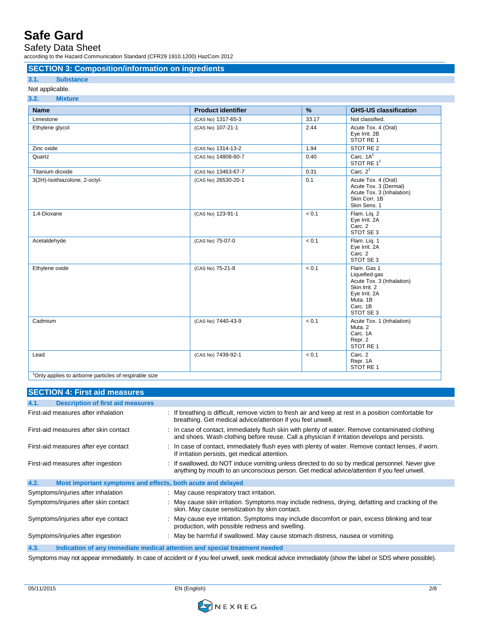Safety Data Sheet

according to the Hazard Communication Standard (CFR29 1910.1200) HazCom 2012

### **SECTION 3: Composition/information on ingredients**

#### **3.1. Substance**

#### Not applicable.

| <b>Name</b>                   | <b>Product identifier</b> | $\frac{9}{6}$ | <b>GHS-US classification</b>                                                                                                     |
|-------------------------------|---------------------------|---------------|----------------------------------------------------------------------------------------------------------------------------------|
| Limestone                     | (CAS No) 1317-65-3        | 33.17         | Not classified.                                                                                                                  |
| Ethylene glycol               | (CAS No) 107-21-1         | 2.44          | Acute Tox. 4 (Oral)<br>Eye Irrit. 2B<br>STOT RE 1                                                                                |
| Zinc oxide                    | (CAS No) 1314-13-2        | 1.94          | STOT RE 2                                                                                                                        |
| Quartz                        | (CAS No) 14808-60-7       | 0.40          | Carc. $1A1$<br>STOT RE 1 <sup>1</sup>                                                                                            |
| Titanium dioxide              | (CAS No) 13463-67-7       | 0.31          | Carc. $21$                                                                                                                       |
| 3(2H)-Isothiazolone, 2-octyl- | (CAS No) 26530-20-1       | 0.1           | Acute Tox. 4 (Oral)<br>Acute Tox. 3 (Dermal)<br>Acute Tox. 3 (Inhalation)<br>Skin Corr. 1B<br>Skin Sens. 1                       |
| 1,4-Dioxane                   | (CAS No) 123-91-1         | < 0.1         | Flam. Lig. 2<br>Eye Irrit. 2A<br>Carc. 2<br>STOT SE 3                                                                            |
| Acetaldehyde                  | (CAS No) 75-07-0          | < 0.1         | Flam. Lig. 1<br>Eye Irrit. 2A<br>Carc. 2<br>STOT SE 3                                                                            |
| Ethylene oxide                | (CAS No) 75-21-8          | < 0.1         | Flam. Gas 1<br>Liquefied gas<br>Acute Tox. 3 (Inhalation)<br>Skin Irrit. 2<br>Eye Irrit. 2A<br>Muta, 1B<br>Carc. 1B<br>STOT SE 3 |
| Cadmium                       | (CAS No) 7440-43-9        | < 0.1         | Acute Tox. 1 (Inhalation)<br>Muta <sub>2</sub><br>Carc. 1A<br>Repr. 2<br>STOT RE 1                                               |
| Lead                          | (CAS No) 7439-92-1        | < 0.1         | Carc. 2<br>Repr. 1A<br>STOT RE 1                                                                                                 |

niy applie

| <b>SECTION 4: First aid measures</b>                                |                                                                                                                                                                                                  |
|---------------------------------------------------------------------|--------------------------------------------------------------------------------------------------------------------------------------------------------------------------------------------------|
| <b>Description of first aid measures</b><br>4.1.                    |                                                                                                                                                                                                  |
| First-aid measures after inhalation                                 | : If breathing is difficult, remove victim to fresh air and keep at rest in a position comfortable for<br>breathing. Get medical advice/attention if you feel unwell.                            |
| First-aid measures after skin contact                               | : In case of contact, immediately flush skin with plenty of water. Remove contaminated clothing<br>and shoes. Wash clothing before reuse. Call a physician if irritation develops and persists.  |
| First-aid measures after eye contact                                | : In case of contact, immediately flush eyes with plenty of water. Remove contact lenses, if worn.<br>If irritation persists, get medical attention.                                             |
| First-aid measures after ingestion                                  | : If swallowed, do NOT induce vomiting unless directed to do so by medical personnel. Never give<br>anything by mouth to an unconscious person. Get medical advice/attention if you feel unwell. |
| 4.2.<br>Most important symptoms and effects, both acute and delayed |                                                                                                                                                                                                  |
| Symptoms/injuries after inhalation                                  | : May cause respiratory tract irritation.                                                                                                                                                        |
| Symptoms/injuries after skin contact                                | : May cause skin irritation. Symptoms may include redness, drying, defatting and cracking of the<br>skin. May cause sensitization by skin contact.                                               |
| Symptoms/injuries after eye contact                                 | : May cause eye irritation. Symptoms may include discomfort or pain, excess blinking and tear<br>production, with possible redness and swelling.                                                 |
| Symptoms/injuries after ingestion                                   | : May be harmful if swallowed. May cause stomach distress, nausea or vomiting.                                                                                                                   |
| 4.3.                                                                | Indication of any immediate medical attention and special treatment needed                                                                                                                       |
|                                                                     | Cymptome may not appear immediately. In ease of coordent or if you feel unually seek mediately aby inmediately (about the label or CDC where peopible)                                           |

Symptoms may not appear immediately. In case of accident or if you feel unwell, seek medical advice immediately (show the label or SDS where possible).

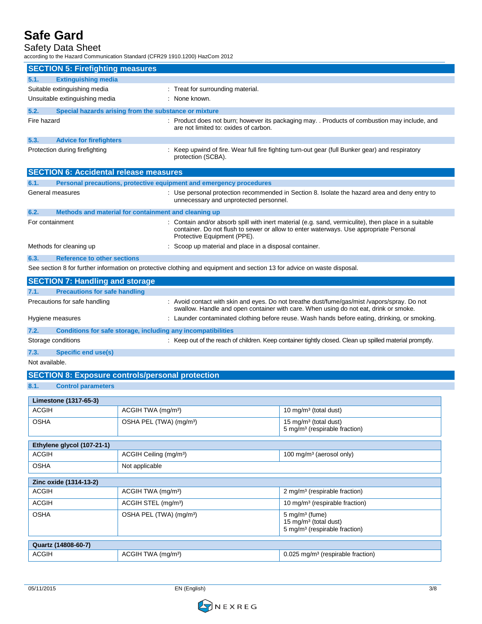### Safety Data Sheet

according to the Hazard Communication Standard (CFR29 1910.1200) HazCom 2012

| <b>SECTION 5: Firefighting measures</b>       |                                                                     |                                                                                                                                                                                                |  |
|-----------------------------------------------|---------------------------------------------------------------------|------------------------------------------------------------------------------------------------------------------------------------------------------------------------------------------------|--|
| <b>Extinguishing media</b><br>5.1.            |                                                                     |                                                                                                                                                                                                |  |
| Suitable extinguishing media                  |                                                                     | : Treat for surrounding material.                                                                                                                                                              |  |
| Unsuitable extinguishing media                | : None known.                                                       |                                                                                                                                                                                                |  |
| 5.2.                                          | Special hazards arising from the substance or mixture               |                                                                                                                                                                                                |  |
| Fire hazard                                   |                                                                     | : Product does not burn; however its packaging may. . Products of combustion may include, and<br>are not limited to: oxides of carbon.                                                         |  |
| 5.3.<br><b>Advice for firefighters</b>        |                                                                     |                                                                                                                                                                                                |  |
| Protection during firefighting                | protection (SCBA).                                                  | : Keep upwind of fire. Wear full fire fighting turn-out gear (full Bunker gear) and respiratory                                                                                                |  |
| <b>SECTION 6: Accidental release measures</b> |                                                                     |                                                                                                                                                                                                |  |
| 6.1.                                          | Personal precautions, protective equipment and emergency procedures |                                                                                                                                                                                                |  |
| General measures                              |                                                                     | : Use personal protection recommended in Section 8. Isolate the hazard area and deny entry to<br>unnecessary and unprotected personnel.                                                        |  |
| 6.2.                                          | Methods and material for containment and cleaning up                |                                                                                                                                                                                                |  |
| For containment                               | Protective Equipment (PPE).                                         | : Contain and/or absorb spill with inert material (e.g. sand, vermiculite), then place in a suitable<br>container. Do not flush to sewer or allow to enter waterways. Use appropriate Personal |  |
| Methods for cleaning up                       |                                                                     | : Scoop up material and place in a disposal container.                                                                                                                                         |  |
| <b>Reference to other sections</b><br>6.3.    |                                                                     |                                                                                                                                                                                                |  |
|                                               |                                                                     | See section 8 for further information on protective clothing and equipment and section 13 for advice on waste disposal.                                                                        |  |
| <b>SECTION 7: Handling and storage</b>        |                                                                     |                                                                                                                                                                                                |  |
| <b>Precautions for safe handling</b><br>7.1.  |                                                                     |                                                                                                                                                                                                |  |
| Precautions for safe handling                 |                                                                     | : Avoid contact with skin and eyes. Do not breathe dust/fume/gas/mist/vapors/spray. Do not<br>swallow. Handle and open container with care. When using do not eat, drink or smoke.             |  |
| Hygiene measures                              |                                                                     | : Launder contaminated clothing before reuse. Wash hands before eating, drinking, or smoking.                                                                                                  |  |
| 7.2.                                          | Conditions for safe storage, including any incompatibilities        |                                                                                                                                                                                                |  |
| Storage conditions                            |                                                                     | : Keep out of the reach of children. Keep container tightly closed. Clean up spilled material promptly.                                                                                        |  |
| 7.3.<br><b>Specific end use(s)</b>            |                                                                     |                                                                                                                                                                                                |  |
| Not available.                                |                                                                     |                                                                                                                                                                                                |  |
|                                               | <b>SECTION 8: Exposure controls/personal protection</b>             |                                                                                                                                                                                                |  |
| 8.1.<br><b>Control parameters</b>             |                                                                     |                                                                                                                                                                                                |  |
| Limestone (1317-65-3)                         |                                                                     |                                                                                                                                                                                                |  |
| <b>ACGIH</b>                                  | ACGIH TWA (mg/m <sup>3</sup> )                                      | 10 mg/m <sup>3</sup> (total dust)                                                                                                                                                              |  |
| <b>OSHA</b>                                   | OSHA PEL (TWA) (mg/m <sup>3</sup> )                                 | 15 mg/m <sup>3</sup> (total dust)<br>5 mg/m <sup>3</sup> (respirable fraction)                                                                                                                 |  |
| Ethylene glycol (107-21-1)                    |                                                                     |                                                                                                                                                                                                |  |

| ACGIH                  | ACGIH Ceiling (mg/m <sup>3</sup> )  | 100 mg/m <sup>3</sup> (aerosol only)                                                                        |  |
|------------------------|-------------------------------------|-------------------------------------------------------------------------------------------------------------|--|
| <b>OSHA</b>            | Not applicable                      |                                                                                                             |  |
| Zinc oxide (1314-13-2) |                                     |                                                                                                             |  |
| <b>ACGIH</b>           | ACGIH TWA (mg/m <sup>3</sup> )      | 2 mg/m <sup>3</sup> (respirable fraction)                                                                   |  |
| <b>ACGIH</b>           | ACGIH STEL (mg/m <sup>3</sup> )     | 10 mg/m <sup>3</sup> (respirable fraction)                                                                  |  |
| <b>OSHA</b>            | OSHA PEL (TWA) (mg/m <sup>3</sup> ) | $5 \text{ mg/m}^3$ (fume)<br>15 mg/m <sup>3</sup> (total dust)<br>5 mg/m <sup>3</sup> (respirable fraction) |  |
| Quartz (14808-60-7)    |                                     |                                                                                                             |  |
| <b>ACGIH</b>           | ACGIH TWA (mg/m <sup>3</sup> )      | 0.025 mg/m <sup>3</sup> (respirable fraction)                                                               |  |

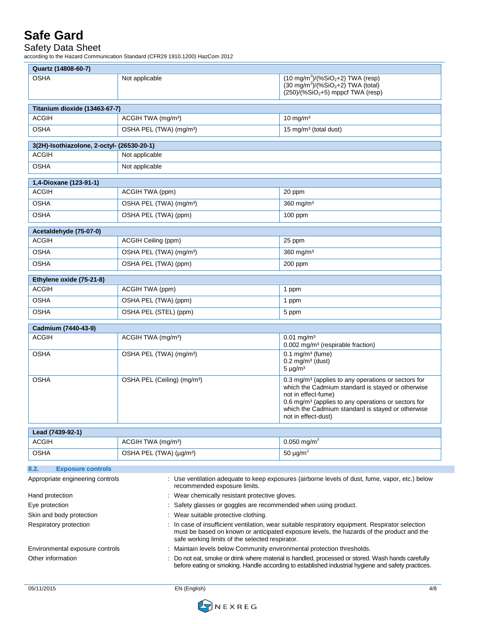### Safety Data Sheet

according to the Hazard Communication Standard (CFR29 1910.1200) HazCom 2012

| Quartz (14808-60-7)                                                                                                                                                 |                                                                                                                                                                                                                                                |                                                                                                                                                                                                                                                                                            |
|---------------------------------------------------------------------------------------------------------------------------------------------------------------------|------------------------------------------------------------------------------------------------------------------------------------------------------------------------------------------------------------------------------------------------|--------------------------------------------------------------------------------------------------------------------------------------------------------------------------------------------------------------------------------------------------------------------------------------------|
| <b>OSHA</b>                                                                                                                                                         | Not applicable                                                                                                                                                                                                                                 | $(10 \text{ mg/m}^3)/(%SiO2+2)$ TWA (resp)<br>$(30 \text{ mg/m}^3)/(%SiO2+2)$ TWA (total)<br>$(250)/(%SiO2+5)$ mppcf TWA (resp)                                                                                                                                                            |
| Titanium dioxide (13463-67-7)                                                                                                                                       |                                                                                                                                                                                                                                                |                                                                                                                                                                                                                                                                                            |
| ACGIH                                                                                                                                                               | ACGIH TWA (mg/m <sup>3</sup> )                                                                                                                                                                                                                 | $10 \text{ mg/m}^3$                                                                                                                                                                                                                                                                        |
| <b>OSHA</b>                                                                                                                                                         | OSHA PEL (TWA) (mg/m <sup>3</sup> )                                                                                                                                                                                                            | 15 mg/m <sup>3</sup> (total dust)                                                                                                                                                                                                                                                          |
| 3(2H)-Isothiazolone, 2-octyl- (26530-20-1)                                                                                                                          |                                                                                                                                                                                                                                                |                                                                                                                                                                                                                                                                                            |
| <b>ACGIH</b>                                                                                                                                                        | Not applicable                                                                                                                                                                                                                                 |                                                                                                                                                                                                                                                                                            |
| <b>OSHA</b>                                                                                                                                                         | Not applicable                                                                                                                                                                                                                                 |                                                                                                                                                                                                                                                                                            |
|                                                                                                                                                                     |                                                                                                                                                                                                                                                |                                                                                                                                                                                                                                                                                            |
| 1,4-Dioxane (123-91-1)<br><b>ACGIH</b>                                                                                                                              | ACGIH TWA (ppm)                                                                                                                                                                                                                                | 20 ppm                                                                                                                                                                                                                                                                                     |
| <b>OSHA</b>                                                                                                                                                         | OSHA PEL (TWA) (mg/m <sup>3</sup> )                                                                                                                                                                                                            | 360 mg/m <sup>3</sup>                                                                                                                                                                                                                                                                      |
| <b>OSHA</b>                                                                                                                                                         | OSHA PEL (TWA) (ppm)                                                                                                                                                                                                                           | $100$ ppm                                                                                                                                                                                                                                                                                  |
|                                                                                                                                                                     |                                                                                                                                                                                                                                                |                                                                                                                                                                                                                                                                                            |
| Acetaldehyde (75-07-0)                                                                                                                                              |                                                                                                                                                                                                                                                |                                                                                                                                                                                                                                                                                            |
| <b>ACGIH</b>                                                                                                                                                        | ACGIH Ceiling (ppm)                                                                                                                                                                                                                            | 25 ppm                                                                                                                                                                                                                                                                                     |
| <b>OSHA</b>                                                                                                                                                         | OSHA PEL (TWA) (mg/m <sup>3</sup> )                                                                                                                                                                                                            | $360$ mg/m <sup>3</sup>                                                                                                                                                                                                                                                                    |
| OSHA                                                                                                                                                                | OSHA PEL (TWA) (ppm)                                                                                                                                                                                                                           | 200 ppm                                                                                                                                                                                                                                                                                    |
| Ethylene oxide (75-21-8)                                                                                                                                            |                                                                                                                                                                                                                                                |                                                                                                                                                                                                                                                                                            |
| <b>ACGIH</b>                                                                                                                                                        | ACGIH TWA (ppm)                                                                                                                                                                                                                                | 1 ppm                                                                                                                                                                                                                                                                                      |
| <b>OSHA</b>                                                                                                                                                         | OSHA PEL (TWA) (ppm)                                                                                                                                                                                                                           | 1 ppm                                                                                                                                                                                                                                                                                      |
| <b>OSHA</b>                                                                                                                                                         | OSHA PEL (STEL) (ppm)                                                                                                                                                                                                                          | 5 ppm                                                                                                                                                                                                                                                                                      |
| Cadmium (7440-43-9)                                                                                                                                                 |                                                                                                                                                                                                                                                |                                                                                                                                                                                                                                                                                            |
| <b>ACGIH</b>                                                                                                                                                        | ACGIH TWA (mg/m <sup>3</sup> )                                                                                                                                                                                                                 | $0.01$ mg/m <sup>3</sup>                                                                                                                                                                                                                                                                   |
|                                                                                                                                                                     |                                                                                                                                                                                                                                                | 0.002 mg/m <sup>3</sup> (respirable fraction)                                                                                                                                                                                                                                              |
| <b>OSHA</b>                                                                                                                                                         | OSHA PEL (TWA) (mg/m <sup>3</sup> )                                                                                                                                                                                                            | $0.1$ mg/m <sup>3</sup> (fume)<br>$0.2$ mg/m <sup>3</sup> (dust)<br>$5 \mu g/m^3$                                                                                                                                                                                                          |
| <b>OSHA</b>                                                                                                                                                         | OSHA PEL (Ceiling) (mg/m <sup>3</sup> )                                                                                                                                                                                                        | 0.3 mg/m <sup>3</sup> (applies to any operations or sectors for<br>which the Cadmium standard is stayed or otherwise<br>not in effect-fume)<br>0.6 mg/m <sup>3</sup> (applies to any operations or sectors for<br>which the Cadmium standard is stayed or otherwise<br>not in effect-dust) |
| Lead (7439-92-1)                                                                                                                                                    |                                                                                                                                                                                                                                                |                                                                                                                                                                                                                                                                                            |
| <b>ACGIH</b>                                                                                                                                                        | ACGIH TWA (mg/m <sup>3</sup> )                                                                                                                                                                                                                 | $0.050$ mg/m <sup>3</sup>                                                                                                                                                                                                                                                                  |
| <b>OSHA</b>                                                                                                                                                         | OSHA PEL (TWA) (µg/m <sup>3</sup> )                                                                                                                                                                                                            | 50 $\mu$ g/m <sup>3</sup>                                                                                                                                                                                                                                                                  |
| 8.2.<br><b>Exposure controls</b>                                                                                                                                    |                                                                                                                                                                                                                                                |                                                                                                                                                                                                                                                                                            |
| Appropriate engineering controls<br>: Use ventilation adequate to keep exposures (airborne levels of dust, fume, vapor, etc.) below<br>recommended exposure limits. |                                                                                                                                                                                                                                                |                                                                                                                                                                                                                                                                                            |
| Hand protection                                                                                                                                                     | : Wear chemically resistant protective gloves.                                                                                                                                                                                                 |                                                                                                                                                                                                                                                                                            |
| Eye protection                                                                                                                                                      | Safety glasses or goggles are recommended when using product.                                                                                                                                                                                  |                                                                                                                                                                                                                                                                                            |
| Skin and body protection                                                                                                                                            | Wear suitable protective clothing.                                                                                                                                                                                                             |                                                                                                                                                                                                                                                                                            |
| Respiratory protection                                                                                                                                              | In case of insufficient ventilation, wear suitable respiratory equipment. Respirator selection<br>must be based on known or anticipated exposure levels, the hazards of the product and the<br>safe working limits of the selected respirator. |                                                                                                                                                                                                                                                                                            |

Environmental exposure controls : Maintain levels below Community environmental protection thresholds. Other information **interest and the CO** not eat, smoke or drink where material is handled, processed or stored. Wash hands carefully



before eating or smoking. Handle according to established industrial hygiene and safety practices.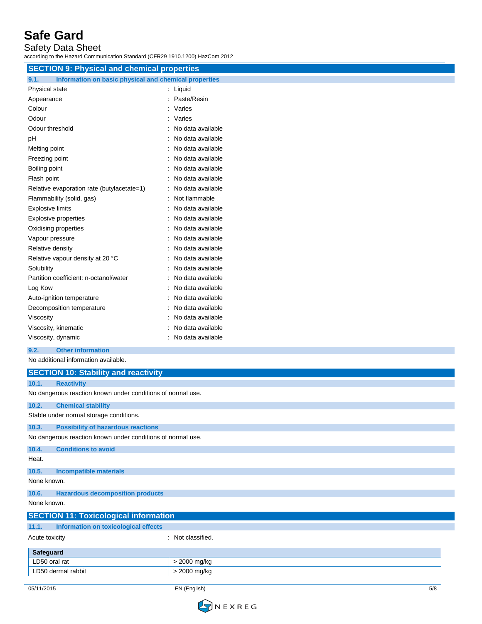Safety Data Sheet

according to the Hazard Communication Standard (CFR29 1910.1200) HazCom 2012

| iccording to the Hazard Communication Standard (CFR29 1910.1200) HazCom 2012 |                     |
|------------------------------------------------------------------------------|---------------------|
| <b>SECTION 9: Physical and chemical properties</b>                           |                     |
| Information on basic physical and chemical properties<br>9.1.                |                     |
| Physical state                                                               | : Liquid            |
| Appearance                                                                   | : Paste/Resin       |
| Colour                                                                       | Varies<br>÷         |
| Odour                                                                        | : Varies            |
| Odour threshold                                                              | : No data available |
| рH                                                                           | : No data available |
| Melting point                                                                | No data available   |
| Freezing point                                                               | No data available   |
| Boiling point                                                                | No data available   |
| Flash point                                                                  | No data available   |
| Relative evaporation rate (butylacetate=1)                                   | No data available   |
| Flammability (solid, gas)                                                    | Not flammable       |
| <b>Explosive limits</b>                                                      | No data available   |
| <b>Explosive properties</b>                                                  | No data available   |
| Oxidising properties                                                         | : No data available |
| Vapour pressure                                                              | No data available   |
| Relative density                                                             | No data available   |
| Relative vapour density at 20 °C                                             | No data available   |
| Solubility                                                                   | No data available   |
| Partition coefficient: n-octanol/water                                       | No data available   |
| Log Kow                                                                      | No data available   |
| Auto-ignition temperature                                                    | : No data available |
| Decomposition temperature                                                    | : No data available |
| Viscosity                                                                    | No data available   |
| Viscosity, kinematic                                                         | No data available   |
| Viscosity, dynamic                                                           | No data available   |
| 9.2.<br><b>Other information</b>                                             |                     |
| No additional information available.                                         |                     |
| <b>SECTION 10: Stability and reactivity</b>                                  |                     |
| 10.1.<br><b>Reactivity</b>                                                   |                     |
| No dangerous reaction known under conditions of normal use.                  |                     |
| 10.2.<br><b>Chemical stability</b>                                           |                     |
| Stable under normal storage conditions.                                      |                     |
| 10.3.<br><b>Possibility of hazardous reactions</b>                           |                     |
| No dangerous reaction known under conditions of normal use.                  |                     |
| 10.4.<br><b>Conditions to avoid</b>                                          |                     |

Heat.

### **10.5. Incompatible materials**

None known.

### **10.6. Hazardous decomposition products**

LD50 dermal rabbit  $\vert$  > 2000 mg/kg

None known .

| $\sim$ $\sim$ $\sim$ $\sim$ $\sim$ $\sim$ $\sim$ $\sim$ |                   |  |
|---------------------------------------------------------|-------------------|--|
| <b>SECTION 11: Toxicological information</b>            |                   |  |
| 11.1.<br>Information on toxicological effects           |                   |  |
| Acute toxicity                                          | : Not classified. |  |
| Safeguard                                               |                   |  |
| LD50 oral rat                                           | > 2000 mg/kg      |  |

(English )

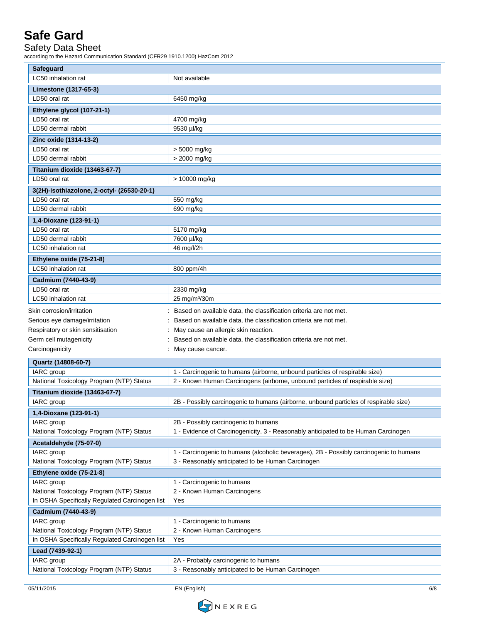Safety Data Sheet

according to the Hazard Communication Standard (CFR29 1910.1200) HazCom 2012

| Safeguard                                                   |                                                                                        |
|-------------------------------------------------------------|----------------------------------------------------------------------------------------|
| LC50 inhalation rat                                         | Not available                                                                          |
| Limestone (1317-65-3)                                       |                                                                                        |
| LD50 oral rat                                               | 6450 mg/kg                                                                             |
| Ethylene glycol (107-21-1)                                  |                                                                                        |
| LD50 oral rat                                               | 4700 mg/kg                                                                             |
| LD50 dermal rabbit                                          | 9530 µl/kg                                                                             |
| Zinc oxide (1314-13-2)                                      |                                                                                        |
| LD50 oral rat                                               | > 5000 mg/kg                                                                           |
| LD50 dermal rabbit                                          | > 2000 mg/kg                                                                           |
| Titanium dioxide (13463-67-7)                               |                                                                                        |
| LD50 oral rat                                               | > 10000 mg/kg                                                                          |
|                                                             |                                                                                        |
| 3(2H)-Isothiazolone, 2-octyl- (26530-20-1)<br>LD50 oral rat |                                                                                        |
| LD50 dermal rabbit                                          | 550 mg/kg                                                                              |
|                                                             | 690 mg/kg                                                                              |
| 1,4-Dioxane (123-91-1)                                      |                                                                                        |
| LD50 oral rat                                               | 5170 mg/kg                                                                             |
| LD50 dermal rabbit                                          | 7600 µl/kg                                                                             |
| LC50 inhalation rat                                         | 46 mg/l/2h                                                                             |
| Ethylene oxide (75-21-8)                                    |                                                                                        |
| LC50 inhalation rat                                         | 800 ppm/4h                                                                             |
| Cadmium (7440-43-9)                                         |                                                                                        |
| LD50 oral rat                                               | 2330 mg/kg                                                                             |
| LC50 inhalation rat                                         | 25 mg/m <sup>3</sup> /30m                                                              |
| Skin corrosion/irritation                                   | Based on available data, the classification criteria are not met.                      |
| Serious eye damage/irritation                               | Based on available data, the classification criteria are not met.                      |
| Respiratory or skin sensitisation                           | May cause an allergic skin reaction.                                                   |
| Germ cell mutagenicity                                      | Based on available data, the classification criteria are not met.                      |
| Carcinogenicity                                             | : May cause cancer.                                                                    |
|                                                             |                                                                                        |
| Quartz (14808-60-7)<br>IARC group                           | 1 - Carcinogenic to humans (airborne, unbound particles of respirable size)            |
| National Toxicology Program (NTP) Status                    | 2 - Known Human Carcinogens (airborne, unbound particles of respirable size)           |
|                                                             |                                                                                        |
| Titanium dioxide (13463-67-7)                               |                                                                                        |
| IARC group                                                  | 2B - Possibly carcinogenic to humans (airborne, unbound particles of respirable size)  |
| 1,4-Dioxane (123-91-1)                                      |                                                                                        |
| IARC group                                                  | 2B - Possibly carcinogenic to humans                                                   |
| National Toxicology Program (NTP) Status                    | 1 - Evidence of Carcinogenicity, 3 - Reasonably anticipated to be Human Carcinogen     |
| Acetaldehyde (75-07-0)                                      |                                                                                        |
| IARC group                                                  | 1 - Carcinogenic to humans (alcoholic beverages), 2B - Possibly carcinogenic to humans |
| National Toxicology Program (NTP) Status                    | 3 - Reasonably anticipated to be Human Carcinogen                                      |
| Ethylene oxide (75-21-8)                                    |                                                                                        |
| IARC group                                                  | 1 - Carcinogenic to humans                                                             |
| National Toxicology Program (NTP) Status                    | 2 - Known Human Carcinogens                                                            |
| In OSHA Specifically Regulated Carcinogen list              | Yes                                                                                    |
| Cadmium (7440-43-9)                                         |                                                                                        |
| IARC group                                                  | 1 - Carcinogenic to humans                                                             |
| National Toxicology Program (NTP) Status                    | 2 - Known Human Carcinogens                                                            |
| In OSHA Specifically Regulated Carcinogen list              | Yes                                                                                    |
| Lead (7439-92-1)                                            |                                                                                        |
| IARC group                                                  | 2A - Probably carcinogenic to humans                                                   |
| National Toxicology Program (NTP) Status                    | 3 - Reasonably anticipated to be Human Carcinogen                                      |
|                                                             |                                                                                        |

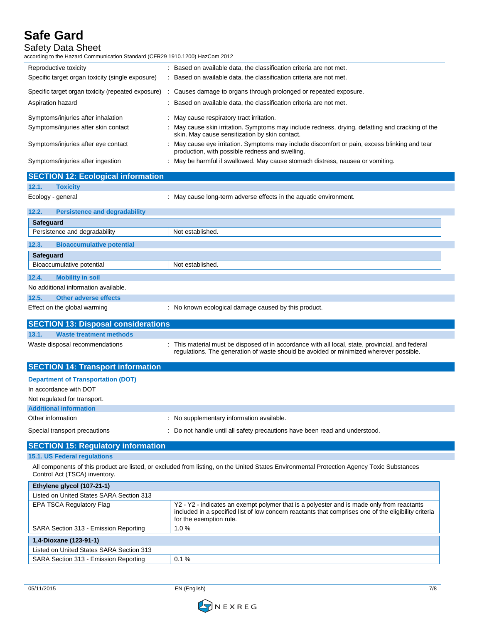| uru vuru<br><b>Safety Data Sheet</b><br>according to the Hazard Communication Standard (CFR29 1910.1200) HazCom 2012 |                                                                                                                                                                                                                              |
|----------------------------------------------------------------------------------------------------------------------|------------------------------------------------------------------------------------------------------------------------------------------------------------------------------------------------------------------------------|
| Reproductive toxicity                                                                                                | : Based on available data, the classification criteria are not met.                                                                                                                                                          |
| Specific target organ toxicity (single exposure)                                                                     | : Based on available data, the classification criteria are not met.                                                                                                                                                          |
|                                                                                                                      |                                                                                                                                                                                                                              |
| Specific target organ toxicity (repeated exposure)                                                                   | : Causes damage to organs through prolonged or repeated exposure.                                                                                                                                                            |
| Aspiration hazard                                                                                                    | Based on available data, the classification criteria are not met.                                                                                                                                                            |
| Symptoms/injuries after inhalation                                                                                   | May cause respiratory tract irritation.                                                                                                                                                                                      |
| Symptoms/injuries after skin contact                                                                                 | May cause skin irritation. Symptoms may include redness, drying, defatting and cracking of the<br>skin. May cause sensitization by skin contact.                                                                             |
| Symptoms/injuries after eye contact                                                                                  | : May cause eye irritation. Symptoms may include discomfort or pain, excess blinking and tear<br>production, with possible redness and swelling.                                                                             |
| Symptoms/injuries after ingestion                                                                                    | : May be harmful if swallowed. May cause stomach distress, nausea or vomiting.                                                                                                                                               |
| <b>SECTION 12: Ecological information</b>                                                                            |                                                                                                                                                                                                                              |
| 12.1.<br><b>Toxicity</b>                                                                                             |                                                                                                                                                                                                                              |
| Ecology - general                                                                                                    | : May cause long-term adverse effects in the aquatic environment.                                                                                                                                                            |
| 12.2.<br><b>Persistence and degradability</b>                                                                        |                                                                                                                                                                                                                              |
| Safeguard                                                                                                            |                                                                                                                                                                                                                              |
| Persistence and degradability                                                                                        | Not established.                                                                                                                                                                                                             |
| 12.3.<br><b>Bioaccumulative potential</b>                                                                            |                                                                                                                                                                                                                              |
| Safeguard                                                                                                            |                                                                                                                                                                                                                              |
| Bioaccumulative potential                                                                                            | Not established.                                                                                                                                                                                                             |
| 12.4.<br><b>Mobility in soil</b>                                                                                     |                                                                                                                                                                                                                              |
| No additional information available.                                                                                 |                                                                                                                                                                                                                              |
| 12.5.<br><b>Other adverse effects</b>                                                                                |                                                                                                                                                                                                                              |
| Effect on the global warming                                                                                         | : No known ecological damage caused by this product.                                                                                                                                                                         |
| <b>SECTION 13: Disposal considerations</b>                                                                           |                                                                                                                                                                                                                              |
| 13.1.<br><b>Waste treatment methods</b>                                                                              |                                                                                                                                                                                                                              |
| Waste disposal recommendations                                                                                       | : This material must be disposed of in accordance with all local, state, provincial, and federal<br>regulations. The generation of waste should be avoided or minimized wherever possible.                                   |
| <b>SECTION 14: Transport information</b>                                                                             |                                                                                                                                                                                                                              |
| <b>Department of Transportation (DOT)</b>                                                                            |                                                                                                                                                                                                                              |
| In accordance with DOT                                                                                               |                                                                                                                                                                                                                              |
| Not regulated for transport.                                                                                         |                                                                                                                                                                                                                              |
| <b>Additional information</b>                                                                                        |                                                                                                                                                                                                                              |
| Other information                                                                                                    | : No supplementary information available.                                                                                                                                                                                    |
| Special transport precautions                                                                                        | Do not handle until all safety precautions have been read and understood.                                                                                                                                                    |
| <b>SECTION 15: Regulatory information</b>                                                                            |                                                                                                                                                                                                                              |
| 15.1. US Federal regulations                                                                                         |                                                                                                                                                                                                                              |
| Control Act (TSCA) inventory.                                                                                        | All components of this product are listed, or excluded from listing, on the United States Environmental Protection Agency Toxic Substances                                                                                   |
| Ethylene glycol (107-21-1)                                                                                           |                                                                                                                                                                                                                              |
| Listed on United States SARA Section 313                                                                             |                                                                                                                                                                                                                              |
| EPA TSCA Regulatory Flag                                                                                             | Y2 - Y2 - indicates an exempt polymer that is a polyester and is made only from reactants<br>included in a specified list of low concern reactants that comprises one of the eligibility criteria<br>for the exemption rule. |

| Ethylene glycol (107-21-1)                                         |                                                                                                                                                                                                                              |
|--------------------------------------------------------------------|------------------------------------------------------------------------------------------------------------------------------------------------------------------------------------------------------------------------------|
| Listed on United States SARA Section 313                           |                                                                                                                                                                                                                              |
| EPA TSCA Regulatory Flag                                           | Y2 - Y2 - indicates an exempt polymer that is a polyester and is made only from reactants<br>included in a specified list of low concern reactants that comprises one of the eligibility criteria<br>for the exemption rule. |
| SARA Section 313 - Emission Reporting                              | 1.0%                                                                                                                                                                                                                         |
| 1,4-Dioxane (123-91-1)<br>Listed on United States SARA Section 313 |                                                                                                                                                                                                                              |
|                                                                    |                                                                                                                                                                                                                              |
| SARA Section 313 - Emission Reporting                              | 0.1%                                                                                                                                                                                                                         |